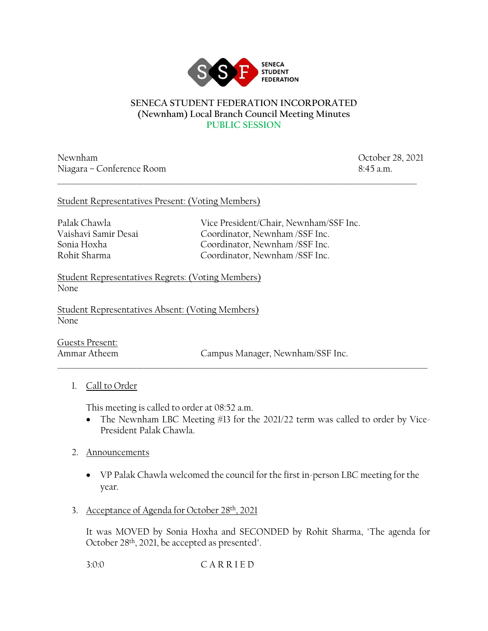

#### **SENECA STUDENT FEDERATION INCORPORATED (Newnham) Local Branch Council Meeting Minutes PUBLIC SESSION**

\_\_\_\_\_\_\_\_\_\_\_\_\_\_\_\_\_\_\_\_\_\_\_\_\_\_\_\_\_\_\_\_\_\_\_\_\_\_\_\_\_\_\_\_\_\_\_\_\_\_\_\_\_\_\_\_\_\_\_\_\_\_\_\_\_\_\_\_\_\_\_\_\_\_\_\_\_\_\_\_\_\_\_\_\_\_\_\_\_\_\_\_\_\_\_\_\_\_\_\_

Newnham October 28, 2021 Niagara – Conference Room 8:45 a.m.

### Student Representatives Present: (Voting Members)

Palak Chawla Vice President/Chair, Newnham/SSF Inc. Vaishavi Samir Desai Coordinator, Newnham /SSF Inc. Sonia Hoxha Coordinator, Newnham /SSF Inc. Rohit Sharma Coordinator, Newnham /SSF Inc.

Student Representatives Regrets: (Voting Members) None

Student Representatives Absent: (Voting Members) None

Guests Present:

Ammar Atheem Campus Manager, Newnham/SSF Inc.

# 1. Call to Order

This meeting is called to order at 08:52 a.m.

• The Newnham LBC Meeting #13 for the 2021/22 term was called to order by Vice-President Palak Chawla.

 $\_$  ,  $\_$  ,  $\_$  ,  $\_$  ,  $\_$  ,  $\_$  ,  $\_$  ,  $\_$  ,  $\_$  ,  $\_$  ,  $\_$  ,  $\_$  ,  $\_$  ,  $\_$  ,  $\_$  ,  $\_$  ,  $\_$  ,  $\_$  ,  $\_$  ,  $\_$  ,  $\_$  ,  $\_$  ,  $\_$  ,  $\_$  ,  $\_$  ,  $\_$  ,  $\_$  ,  $\_$  ,  $\_$  ,  $\_$  ,  $\_$  ,  $\_$  ,  $\_$  ,  $\_$  ,  $\_$  ,  $\_$  ,  $\_$  ,

- 2. Announcements
	- VP Palak Chawla welcomed the council for the first in-person LBC meeting for the year.
- 3. Acceptance of Agenda for October 28th, 2021

It was MOVED by Sonia Hoxha and SECONDED by Rohit Sharma, "The agenda for October 28th, 2021, be accepted as presented".

3:0:0 C A R R I E D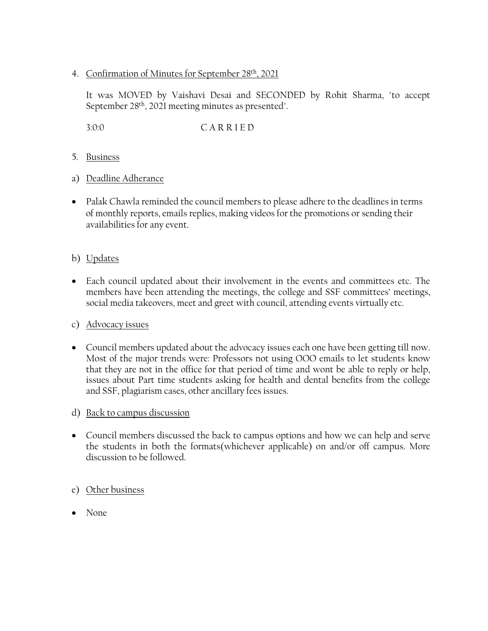### 4. Confirmation of Minutes for September 28th, 2021

It was MOVED by Vaishavi Desai and SECONDED by Rohit Sharma, "to accept September 28th, 2021 meeting minutes as presented".

3:0:0 C A R R I E D

- 5. Business
- a) Deadline Adherance
- Palak Chawla reminded the council members to please adhere to the deadlines in terms of monthly reports, emails replies, making videos for the promotions or sending their availabilities for any event.

# b) Updates

• Each council updated about their involvement in the events and committees etc. The members have been attending the meetings, the college and SSF committees' meetings, social media takeovers, meet and greet with council, attending events virtually etc.

### c) Advocacy issues

- Council members updated about the advocacy issues each one have been getting till now. Most of the major trends were: Professors not using OOO emails to let students know that they are not in the office for that period of time and wont be able to reply or help, issues about Part time students asking for health and dental benefits from the college and SSF, plagiarism cases, other ancillary fees issues.
- d) Back to campus discussion
- Council members discussed the back to campus options and how we can help and serve the students in both the formats(whichever applicable) on and/or off campus. More discussion to be followed.

# e) Other business

• None